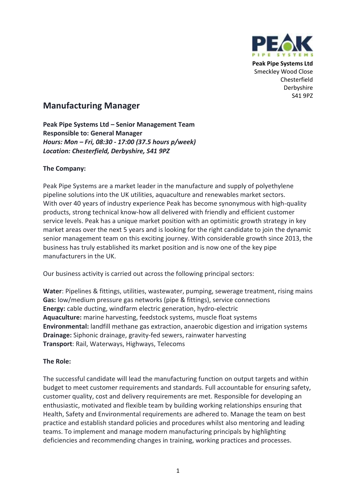

**Peak Pipe Systems Ltd** Smeckley Wood Close Chesterfield Derbyshire S41 9PZ

# **Manufacturing Manager**

**Peak Pipe Systems Ltd – Senior Management Team Responsible to: General Manager** *Hours: Mon – Fri, 08:30 - 17:00 (37.5 hours p/week) Location: Chesterfield, Derbyshire, S41 9PZ*

## **The Company:**

Peak Pipe Systems are a market leader in the manufacture and supply of polyethylene pipeline solutions into the UK utilities, aquaculture and renewables market sectors. With over 40 years of industry experience Peak has become synonymous with high-quality products, strong technical know-how all delivered with friendly and efficient customer service levels. Peak has a unique market position with an optimistic growth strategy in key market areas over the next 5 years and is looking for the right candidate to join the dynamic senior management team on this exciting journey. With considerable growth since 2013, the business has truly established its market position and is now one of the key pipe manufacturers in the UK.

Our business activity is carried out across the following principal sectors:

**Water**: Pipelines & fittings, utilities, wastewater, pumping, sewerage treatment, rising mains **Gas:** low/medium pressure gas networks (pipe & fittings), service connections **Energy:** cable ducting, windfarm electric generation, hydro-electric **Aquaculture:** marine harvesting, feedstock systems, muscle float systems **Environmental:** landfill methane gas extraction, anaerobic digestion and irrigation systems **Drainage:** Siphonic drainage, gravity-fed sewers, rainwater harvesting **Transport**: Rail, Waterways, Highways, Telecoms

### **The Role:**

The successful candidate will lead the manufacturing function on output targets and within budget to meet customer requirements and standards. Full accountable for ensuring safety, customer quality, cost and delivery requirements are met. Responsible for developing an enthusiastic, motivated and flexible team by building working relationships ensuring that Health, Safety and Environmental requirements are adhered to. Manage the team on best practice and establish standard policies and procedures whilst also mentoring and leading teams. To implement and manage modern manufacturing principals by highlighting deficiencies and recommending changes in training, working practices and processes.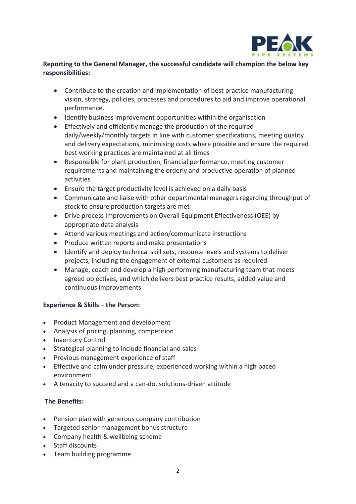

### **Reporting to the General Manager, the successful candidate will champion the below key responsibilities:**

- Contribute to the creation and implementation of best practice manufacturing vision, strategy, policies, processes and procedures to aid and improve operational performance.
- Identify business improvement opportunities within the organisation
- Effectively and efficiently manage the production of the required daily/weekly/monthly targets in line with customer specifications, meeting quality and delivery expectations, minimising costs where possible and ensure the required best working practices are maintained at all times
- Responsible for plant production, financial performance, meeting customer requirements and maintaining the orderly and productive operation of planned activities
- Ensure the target productivity level is achieved on a daily basis
- Communicate and liaise with other departmental managers regarding throughput of stock to ensure production targets are met
- Drive process improvements on Overall Equipment Effectiveness (OEE) by appropriate data analysis
- Attend various meetings and action/communicate instructions
- Produce written reports and make presentations
- Identify and deploy technical skill sets, resource levels and systems to deliver projects, including the engagement of external customers as required
- Manage, coach and develop a high performing manufacturing team that meets agreed objectives, and which delivers best practice results, added value and continuous improvements

### **Experience & Skills – the Person:**

- Product Management and development
- Analysis of pricing, planning, competition
- Inventory Control
- Strategical planning to include financial and sales
- Previous management experience of staff
- Effective and calm under pressure, experienced working within a high paced environment
- A tenacity to succeed and a can-do, solutions-driven attitude

#### **The Benefits:**

- Pension plan with generous company contribution
- Targeted senior management bonus structure
- Company health & wellbeing scheme
- Staff discounts
- Team building programme